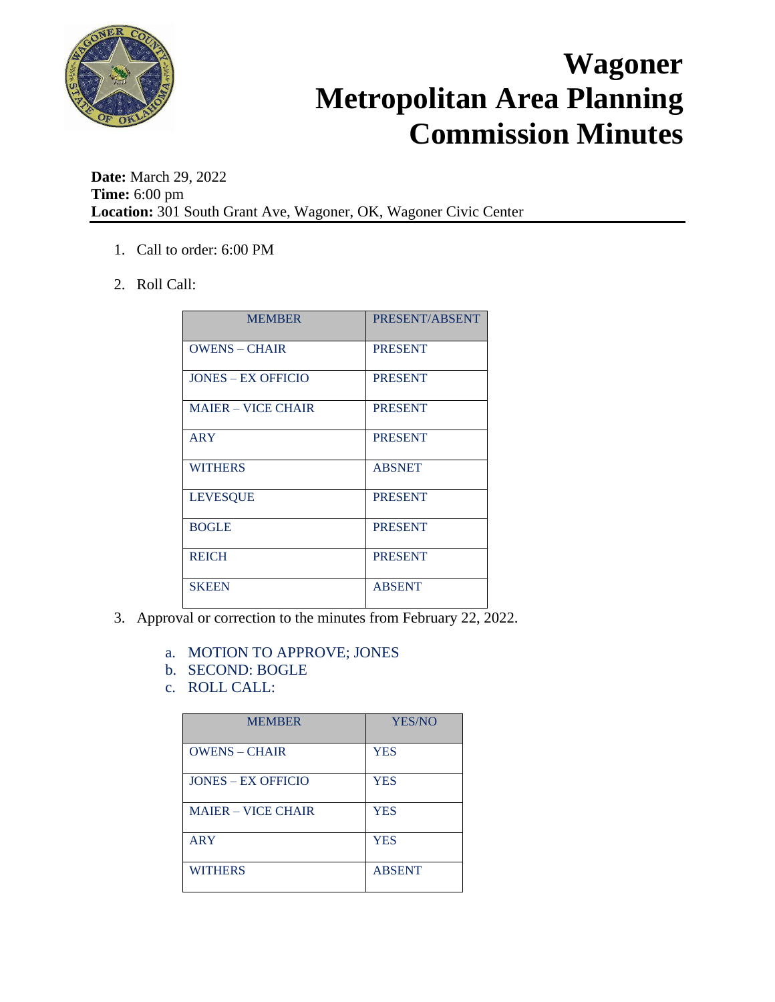

**Date:** March 29, 2022 **Time:** 6:00 pm **Location:** 301 South Grant Ave, Wagoner, OK, Wagoner Civic Center

- 1. Call to order: 6:00 PM
- 2. Roll Call:

| <b>MEMBER</b>             | PRESENT/ABSENT |
|---------------------------|----------------|
| <b>OWENS - CHAIR</b>      | <b>PRESENT</b> |
| <b>JONES – EX OFFICIO</b> | <b>PRESENT</b> |
| <b>MAJER – VICE CHAIR</b> | <b>PRESENT</b> |
| ARY                       | <b>PRESENT</b> |
| <b>WITHERS</b>            | <b>ABSNET</b>  |
| <b>LEVESQUE</b>           | <b>PRESENT</b> |
| <b>BOGLE</b>              | <b>PRESENT</b> |
| <b>REICH</b>              | <b>PRESENT</b> |
| <b>SKEEN</b>              | <b>ABSENT</b>  |

- 3. Approval or correction to the minutes from February 22, 2022.
	- a. MOTION TO APPROVE; JONES
	- b. SECOND: BOGLE
	- c. ROLL CALL:

| <b>MEMBER</b>             | YES/NO        |
|---------------------------|---------------|
| <b>OWENS - CHAIR</b>      | <b>YES</b>    |
| <b>JONES – EX OFFICIO</b> | <b>YES</b>    |
| <b>MAJER – VICE CHAIR</b> | <b>YES</b>    |
| <b>ARY</b>                | <b>YES</b>    |
| <b>WITHERS</b>            | <b>ABSENT</b> |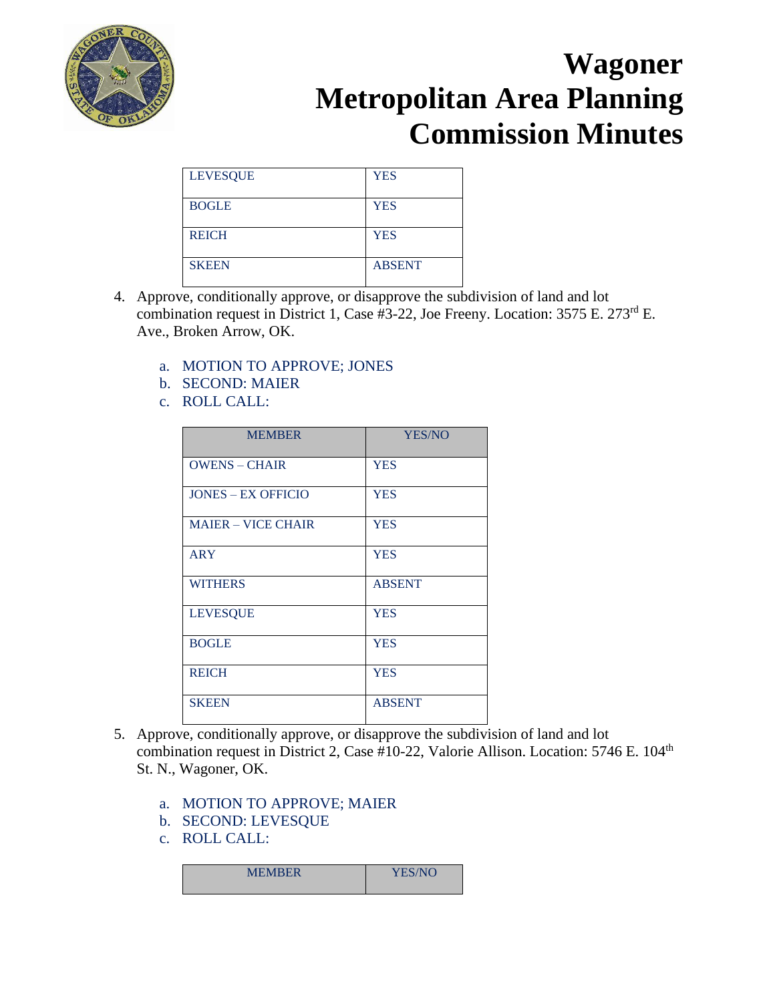

| <b>LEVESQUE</b> | <b>YES</b>    |
|-----------------|---------------|
| <b>BOGLE</b>    | <b>YES</b>    |
| <b>REICH</b>    | <b>YES</b>    |
| <b>SKEEN</b>    | <b>ABSENT</b> |

- 4. Approve, conditionally approve, or disapprove the subdivision of land and lot combination request in District 1, Case #3-22, Joe Freeny. Location: 3575 E. 273rd E. Ave., Broken Arrow, OK.
	- a. MOTION TO APPROVE; JONES
	- b. SECOND: MAIER
	- c. ROLL CALL:

| <b>MEMBER</b>             | <b>YES/NO</b> |
|---------------------------|---------------|
| <b>OWENS - CHAIR</b>      | <b>YES</b>    |
| <b>JONES – EX OFFICIO</b> | <b>YES</b>    |
| <b>MAIER - VICE CHAIR</b> | <b>YES</b>    |
| <b>ARY</b>                | <b>YES</b>    |
| <b>WITHERS</b>            | <b>ABSENT</b> |
| <b>LEVESQUE</b>           | <b>YES</b>    |
| <b>BOGLE</b>              | <b>YES</b>    |
| <b>REICH</b>              | <b>YES</b>    |
| <b>SKEEN</b>              | <b>ABSENT</b> |

- 5. Approve, conditionally approve, or disapprove the subdivision of land and lot combination request in District 2, Case #10-22, Valorie Allison. Location: 5746 E. 104<sup>th</sup> St. N., Wagoner, OK.
	- a. MOTION TO APPROVE; MAIER
	- b. SECOND: LEVESQUE
	- c. ROLL CALL:

| <b>MEMBER</b> | YES/NO |
|---------------|--------|
|               |        |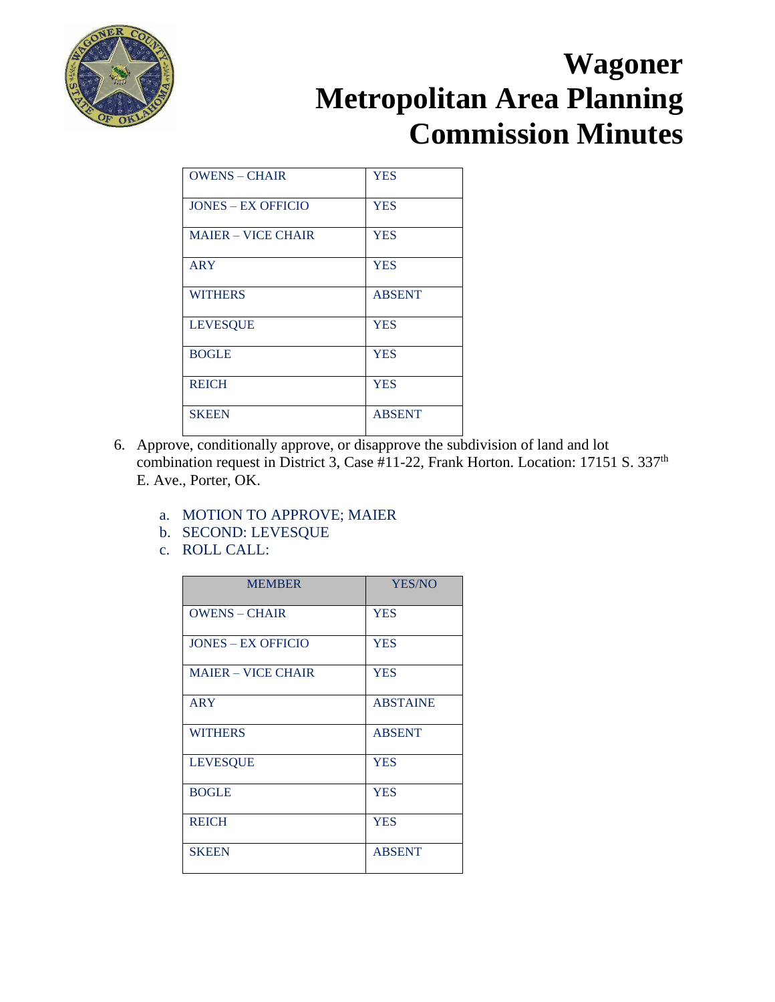

| <b>OWENS - CHAIR</b>      | <b>YES</b>    |
|---------------------------|---------------|
| <b>JONES – EX OFFICIO</b> | <b>YES</b>    |
| <b>MAIER – VICE CHAIR</b> | <b>YES</b>    |
| <b>ARY</b>                | <b>YES</b>    |
| <b>WITHERS</b>            | <b>ABSENT</b> |
| <b>LEVESQUE</b>           | <b>YES</b>    |
| <b>BOGLE</b>              | <b>YES</b>    |
| <b>REICH</b>              | <b>YES</b>    |
| <b>SKEEN</b>              | <b>ABSENT</b> |

- 6. Approve, conditionally approve, or disapprove the subdivision of land and lot combination request in District 3, Case #11-22, Frank Horton. Location: 17151 S. 337<sup>th</sup> E. Ave., Porter, OK.
	- a. MOTION TO APPROVE; MAIER
	- b. SECOND: LEVESQUE
	- c. ROLL CALL:

| <b>MEMBER</b>             | YES/NO          |
|---------------------------|-----------------|
| <b>OWENS - CHAIR</b>      | <b>YES</b>      |
| <b>JONES – EX OFFICIO</b> | <b>YES</b>      |
| <b>MAJER – VICE CHAIR</b> | <b>YES</b>      |
| <b>ARY</b>                | <b>ABSTAINE</b> |
| <b>WITHERS</b>            | <b>ABSENT</b>   |
| <b>LEVESQUE</b>           | <b>YES</b>      |
| <b>BOGLE</b>              | <b>YES</b>      |
| <b>REICH</b>              | <b>YES</b>      |
| <b>SKEEN</b>              | <b>ABSENT</b>   |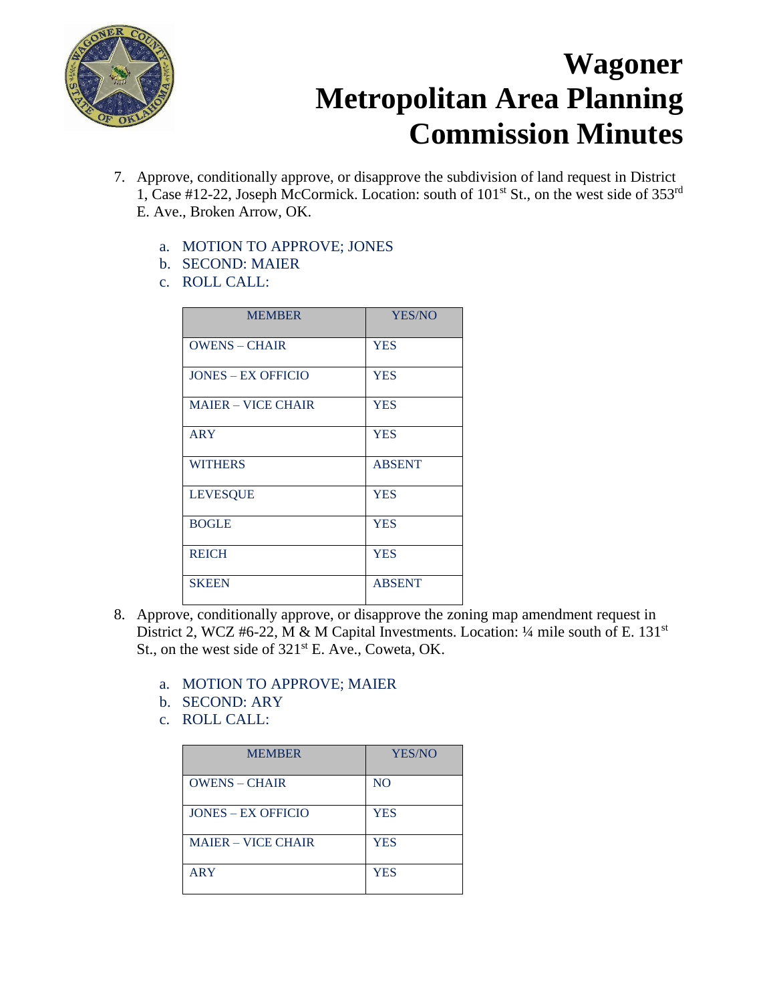

- 7. Approve, conditionally approve, or disapprove the subdivision of land request in District 1, Case #12-22, Joseph McCormick. Location: south of  $101<sup>st</sup>$  St., on the west side of 353<sup>rd</sup> E. Ave., Broken Arrow, OK.
	- a. MOTION TO APPROVE; JONES
	- b. SECOND: MAIER
	- c. ROLL CALL:

| <b>MEMBER</b>             | YES/NO        |
|---------------------------|---------------|
| <b>OWENS - CHAIR</b>      | <b>YES</b>    |
| <b>JONES – EX OFFICIO</b> | <b>YES</b>    |
| <b>MAJER – VICE CHAIR</b> | <b>YES</b>    |
| <b>ARY</b>                | <b>YES</b>    |
| <b>WITHERS</b>            | <b>ABSENT</b> |
| <b>LEVESQUE</b>           | <b>YES</b>    |
| <b>BOGLE</b>              | <b>YES</b>    |
| <b>REICH</b>              | <b>YES</b>    |
| <b>SKEEN</b>              | <b>ABSENT</b> |

- 8. Approve, conditionally approve, or disapprove the zoning map amendment request in District 2, WCZ #6-22, M & M Capital Investments. Location:  $\frac{1}{4}$  mile south of E. 131<sup>st</sup> St., on the west side of  $321<sup>st</sup>$  E. Ave., Coweta, OK.
	- a. MOTION TO APPROVE; MAIER
	- b. SECOND: ARY
	- c. ROLL CALL:

| <b>MEMBER</b>             | YES/NO         |
|---------------------------|----------------|
| <b>OWENS - CHAIR</b>      | N <sub>O</sub> |
| <b>JONES – EX OFFICIO</b> | <b>YES</b>     |
| <b>MAJER – VICE CHAIR</b> | <b>YES</b>     |
| <b>ARY</b>                | <b>YES</b>     |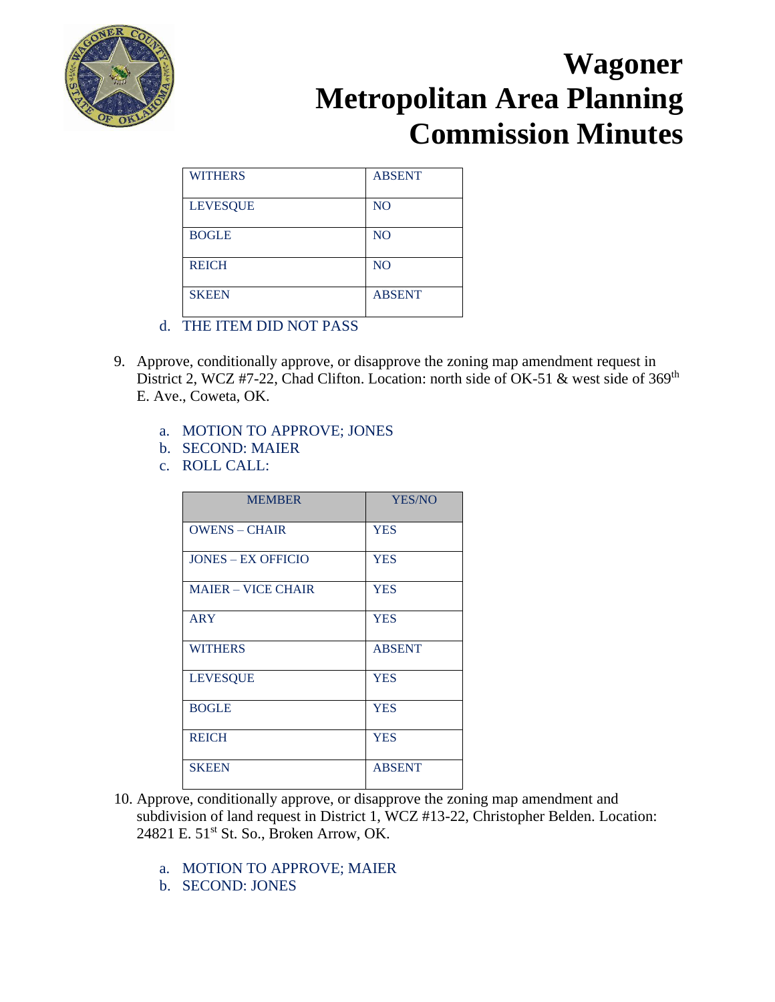

| <b>WITHERS</b>  | <b>ABSENT</b> |
|-----------------|---------------|
| <b>LEVESQUE</b> | <b>NO</b>     |
| <b>BOGLE</b>    | <b>NO</b>     |
| <b>REICH</b>    | <b>NO</b>     |
| <b>SKEEN</b>    | <b>ABSENT</b> |

- d. THE ITEM DID NOT PASS
- 9. Approve, conditionally approve, or disapprove the zoning map amendment request in District 2, WCZ #7-22, Chad Clifton. Location: north side of OK-51 & west side of 369<sup>th</sup> E. Ave., Coweta, OK.
	- a. MOTION TO APPROVE; JONES
	- b. SECOND: MAIER
	- c. ROLL CALL:

| <b>MEMBER</b>             | YES/NO        |
|---------------------------|---------------|
| <b>OWENS - CHAIR</b>      | <b>YES</b>    |
| <b>JONES – EX OFFICIO</b> | <b>YES</b>    |
| <b>MAJER – VICE CHAIR</b> | <b>YES</b>    |
| <b>ARY</b>                | <b>YES</b>    |
| <b>WITHERS</b>            | <b>ABSENT</b> |
| <b>LEVESQUE</b>           | <b>YES</b>    |
| <b>BOGLE</b>              | <b>YES</b>    |
| <b>REICH</b>              | <b>YES</b>    |
| <b>SKEEN</b>              | <b>ABSENT</b> |

- 10. Approve, conditionally approve, or disapprove the zoning map amendment and subdivision of land request in District 1, WCZ #13-22, Christopher Belden. Location: 24821 E. 51<sup>st</sup> St. So., Broken Arrow, OK.
	- a. MOTION TO APPROVE; MAIER
	- b. SECOND: JONES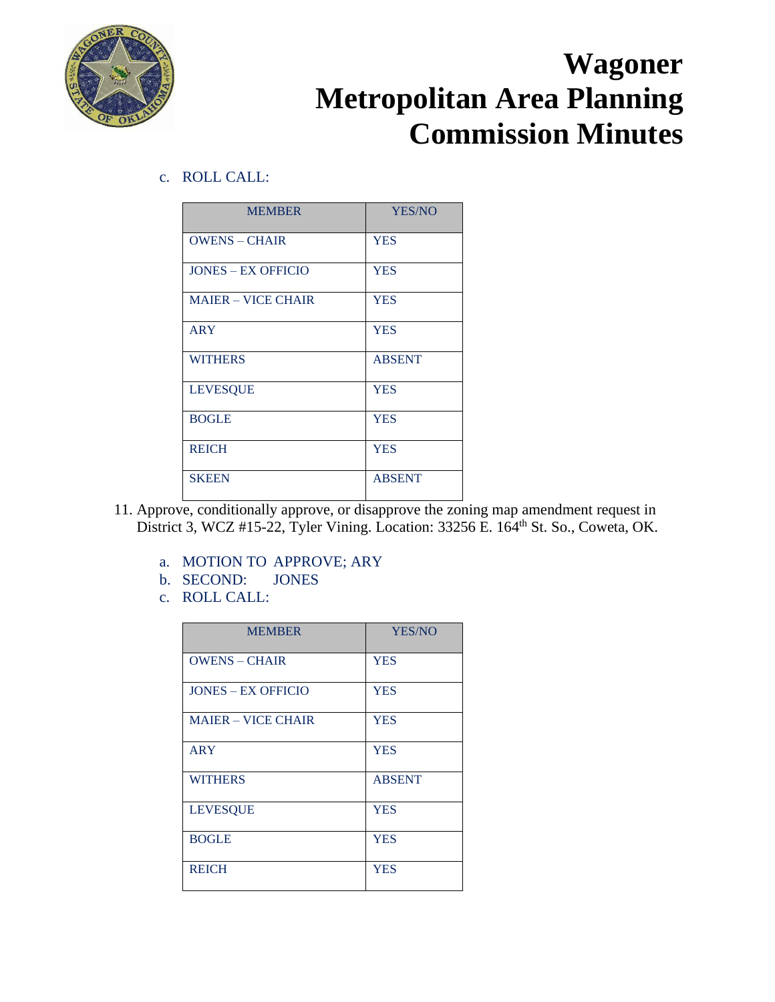

c. ROLL CALL:

| <b>MEMBER</b>             | YES/NO        |
|---------------------------|---------------|
| <b>OWENS - CHAIR</b>      | <b>YES</b>    |
| <b>JONES – EX OFFICIO</b> | <b>YES</b>    |
| <b>MAJER – VICE CHAIR</b> | <b>YES</b>    |
| <b>ARY</b>                | <b>YES</b>    |
| <b>WITHERS</b>            | <b>ABSENT</b> |
| <b>LEVESQUE</b>           | <b>YES</b>    |
| <b>BOGLE</b>              | <b>YES</b>    |
| <b>REICH</b>              | <b>YES</b>    |
| <b>SKEEN</b>              | <b>ABSENT</b> |

- 11. Approve, conditionally approve, or disapprove the zoning map amendment request in District 3, WCZ #15-22, Tyler Vining. Location: 33256 E. 164<sup>th</sup> St. So., Coweta, OK.
	- a. MOTION TO APPROVE; ARY
	- b. SECOND: JONES
	- c. ROLL CALL:

| <b>MEMBER</b>             | YES/NO        |
|---------------------------|---------------|
| <b>OWENS - CHAIR</b>      | <b>YES</b>    |
| <b>JONES – EX OFFICIO</b> | <b>YES</b>    |
| <b>MAJER – VICE CHAIR</b> | <b>YES</b>    |
| ARY                       | <b>YES</b>    |
| <b>WITHERS</b>            | <b>ABSENT</b> |
| <b>LEVESQUE</b>           | <b>YES</b>    |
| <b>BOGLE</b>              | <b>YES</b>    |
| <b>REICH</b>              | <b>YES</b>    |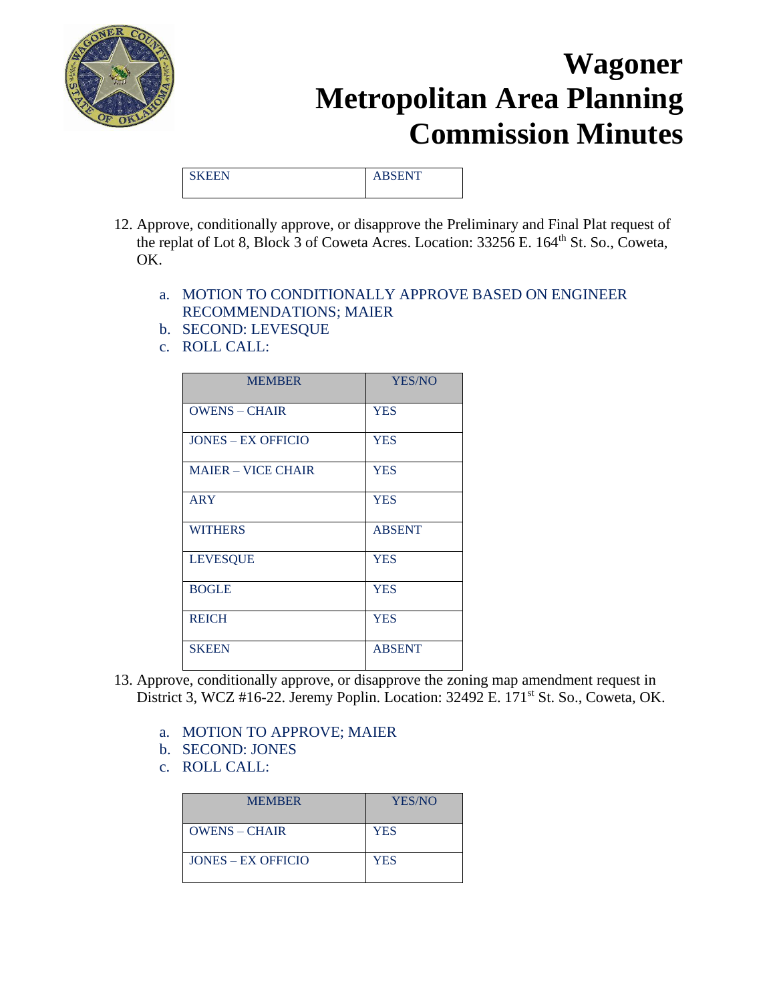

|  | $\sim$ $\sim$ $\sim$ $\sim$ $\sim$ $\sim$ $\sim$<br><u>.</u> |
|--|--------------------------------------------------------------|
|  |                                                              |

- 12. Approve, conditionally approve, or disapprove the Preliminary and Final Plat request of the replat of Lot 8, Block 3 of Coweta Acres. Location: 33256 E. 164<sup>th</sup> St. So., Coweta, OK.
	- a. MOTION TO CONDITIONALLY APPROVE BASED ON ENGINEER RECOMMENDATIONS; MAIER
	- b. SECOND: LEVESQUE
	- c. ROLL CALL:

| <b>MEMBER</b>             | <b>YES/NO</b> |
|---------------------------|---------------|
| <b>OWENS - CHAIR</b>      | <b>YES</b>    |
| <b>JONES – EX OFFICIO</b> | <b>YES</b>    |
| <b>MAIER - VICE CHAIR</b> | <b>YES</b>    |
| <b>ARY</b>                | <b>YES</b>    |
| <b>WITHERS</b>            | <b>ABSENT</b> |
| <b>LEVESQUE</b>           | <b>YES</b>    |
| <b>BOGLE</b>              | <b>YES</b>    |
| <b>REICH</b>              | <b>YES</b>    |
| <b>SKEEN</b>              | <b>ABSENT</b> |

- 13. Approve, conditionally approve, or disapprove the zoning map amendment request in District 3, WCZ #16-22. Jeremy Poplin. Location: 32492 E. 171<sup>st</sup> St. So., Coweta, OK.
	- a. MOTION TO APPROVE; MAIER
	- b. SECOND: JONES
	- c. ROLL CALL:

| <b>MEMBER</b>        | YES/NO     |
|----------------------|------------|
| $OWENS - CHAIR$      | <b>YES</b> |
| $JONES - EX$ OFFICIO | YES        |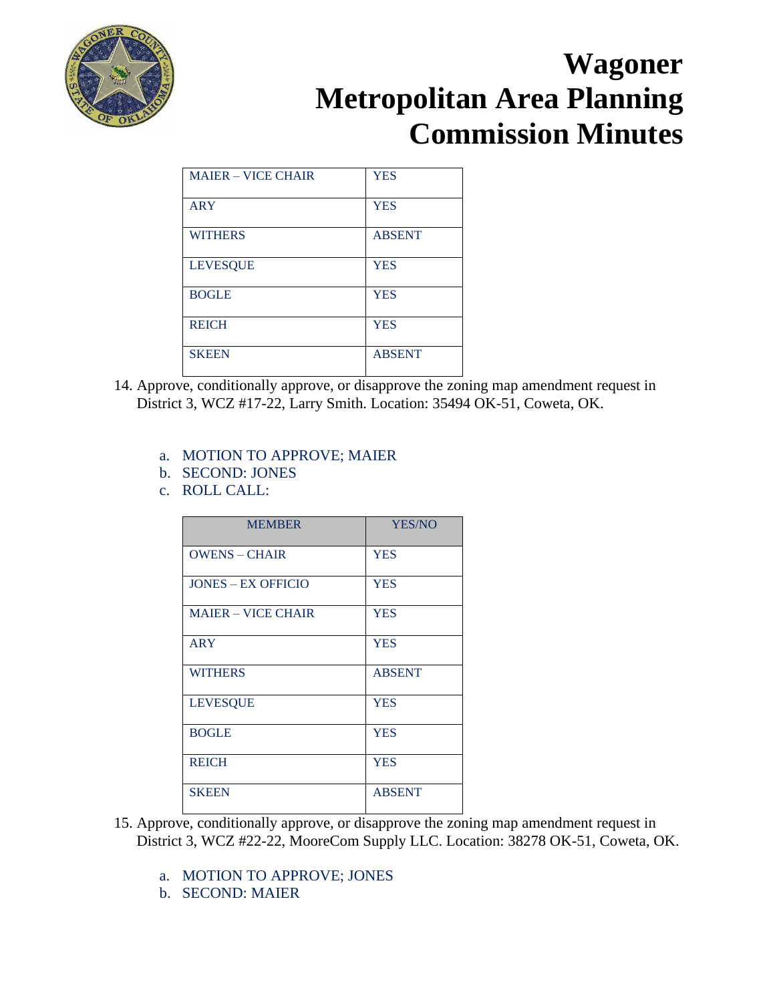

| <b>MAJER – VICE CHAIR</b> | <b>YES</b>    |
|---------------------------|---------------|
| <b>ARY</b>                | <b>YES</b>    |
| <b>WITHERS</b>            | <b>ABSENT</b> |
| <b>LEVESQUE</b>           | <b>YES</b>    |
| <b>BOGLE</b>              | <b>YES</b>    |
| <b>REICH</b>              | <b>YES</b>    |
| <b>SKEEN</b>              | <b>ABSENT</b> |

- 14. Approve, conditionally approve, or disapprove the zoning map amendment request in District 3, WCZ #17-22, Larry Smith. Location: 35494 OK-51, Coweta, OK.
	- a. MOTION TO APPROVE; MAIER
	- b. SECOND: JONES
	- c. ROLL CALL:

| <b>MEMBER</b>             | <b>YES/NO</b> |
|---------------------------|---------------|
| <b>OWENS - CHAIR</b>      | <b>YES</b>    |
| <b>JONES – EX OFFICIO</b> | <b>YES</b>    |
| <b>MAJER – VICE CHAIR</b> | <b>YES</b>    |
| <b>ARY</b>                | <b>YES</b>    |
| <b>WITHERS</b>            | <b>ABSENT</b> |
| <b>LEVESQUE</b>           | <b>YES</b>    |
| <b>BOGLE</b>              | <b>YES</b>    |
| <b>REICH</b>              | <b>YES</b>    |
| <b>SKEEN</b>              | <b>ABSENT</b> |

- 15. Approve, conditionally approve, or disapprove the zoning map amendment request in District 3, WCZ #22-22, MooreCom Supply LLC. Location: 38278 OK-51, Coweta, OK.
	- a. MOTION TO APPROVE; JONES
	- b. SECOND: MAIER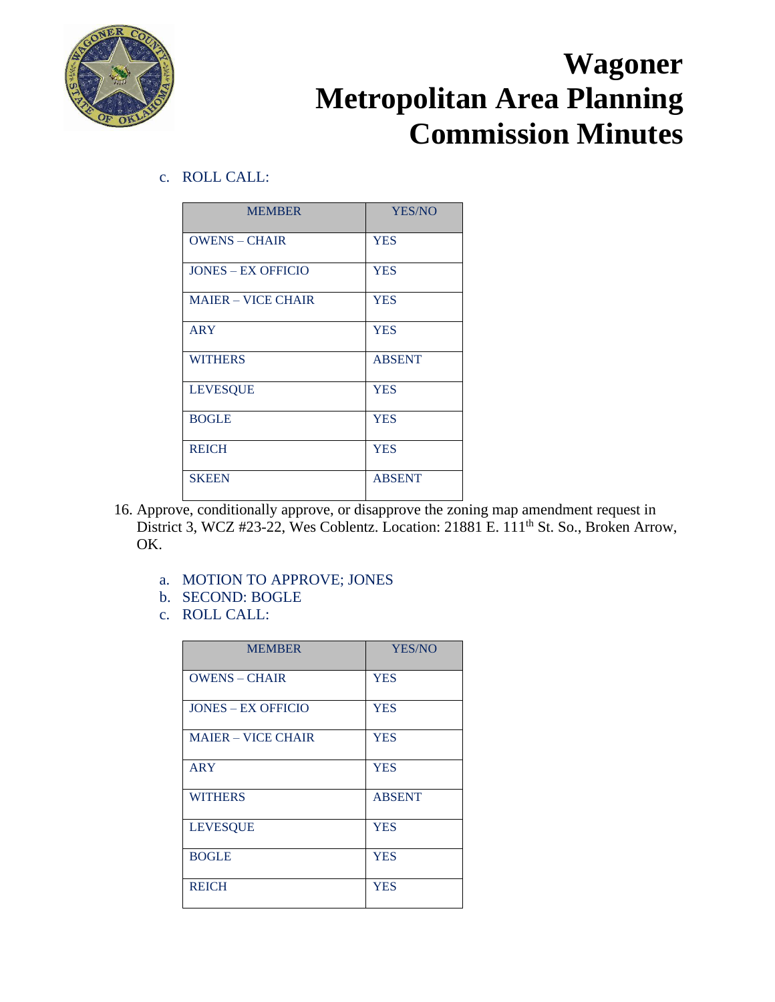

c. ROLL CALL:

| <b>MEMBER</b>             | YES/NO        |
|---------------------------|---------------|
| <b>OWENS - CHAIR</b>      | <b>YES</b>    |
| <b>JONES – EX OFFICIO</b> | <b>YES</b>    |
| <b>MAJER – VICE CHAIR</b> | <b>YES</b>    |
| <b>ARY</b>                | <b>YES</b>    |
| <b>WITHERS</b>            | <b>ABSENT</b> |
| <b>LEVESQUE</b>           | <b>YES</b>    |
| <b>BOGLE</b>              | <b>YES</b>    |
| <b>REICH</b>              | <b>YES</b>    |
| <b>SKEEN</b>              | <b>ABSENT</b> |

- 16. Approve, conditionally approve, or disapprove the zoning map amendment request in District 3, WCZ #23-22, Wes Coblentz. Location: 21881 E. 111<sup>th</sup> St. So., Broken Arrow, OK.
	- a. MOTION TO APPROVE; JONES
	- b. SECOND: BOGLE
	- c. ROLL CALL:

| <b>MEMBER</b>             | YES/NO        |
|---------------------------|---------------|
| <b>OWENS – CHAIR</b>      | <b>YES</b>    |
| <b>JONES – EX OFFICIO</b> | <b>YES</b>    |
| <b>MAJER – VICE CHAIR</b> | <b>YES</b>    |
| <b>ARY</b>                | <b>YES</b>    |
| <b>WITHERS</b>            | <b>ABSENT</b> |
| <b>LEVESQUE</b>           | <b>YES</b>    |
| <b>BOGLE</b>              | <b>YES</b>    |
| <b>REICH</b>              | <b>YES</b>    |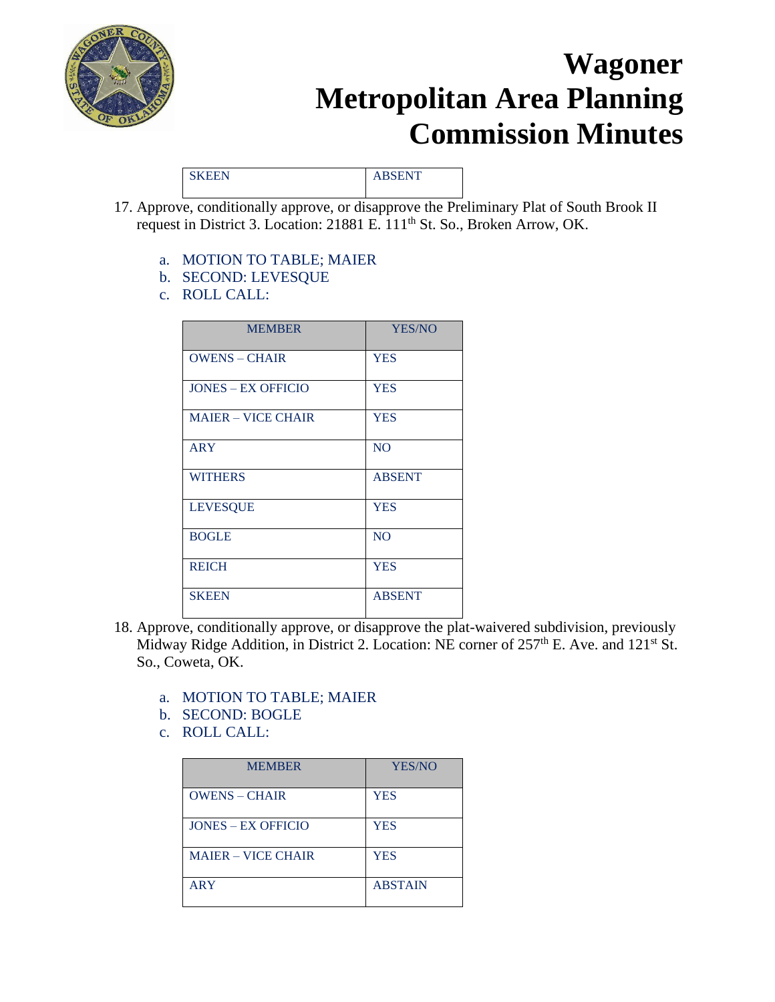

SKEEN ABSENT

- 17. Approve, conditionally approve, or disapprove the Preliminary Plat of South Brook II request in District 3. Location: 21881 E. 111th St. So., Broken Arrow, OK.
	- a. MOTION TO TABLE; MAIER
	- b. SECOND: LEVESQUE
	- c. ROLL CALL:

| <b>MEMBER</b>             | YES/NO         |
|---------------------------|----------------|
| <b>OWENS - CHAIR</b>      | <b>YES</b>     |
| <b>JONES – EX OFFICIO</b> | <b>YES</b>     |
| <b>MAIER - VICE CHAIR</b> | <b>YES</b>     |
| <b>ARY</b>                | N <sub>O</sub> |
| <b>WITHERS</b>            | <b>ABSENT</b>  |
| <b>LEVESQUE</b>           | <b>YES</b>     |
| <b>BOGLE</b>              | N <sub>O</sub> |
| <b>REICH</b>              | <b>YES</b>     |
| <b>SKEEN</b>              | <b>ABSENT</b>  |

- 18. Approve, conditionally approve, or disapprove the plat-waivered subdivision, previously Midway Ridge Addition, in District 2. Location: NE corner of 257<sup>th</sup> E. Ave. and 121<sup>st</sup> St. So., Coweta, OK.
	- a. MOTION TO TABLE; MAIER
	- b. SECOND: BOGLE
	- c. ROLL CALL:

| <b>MEMBER</b>             | YES/NO         |
|---------------------------|----------------|
| <b>OWENS - CHAIR</b>      | <b>YES</b>     |
| <b>JONES – EX OFFICIO</b> | <b>YES</b>     |
| <b>MAJER – VICE CHAIR</b> | <b>YES</b>     |
| <b>ARY</b>                | <b>ABSTAIN</b> |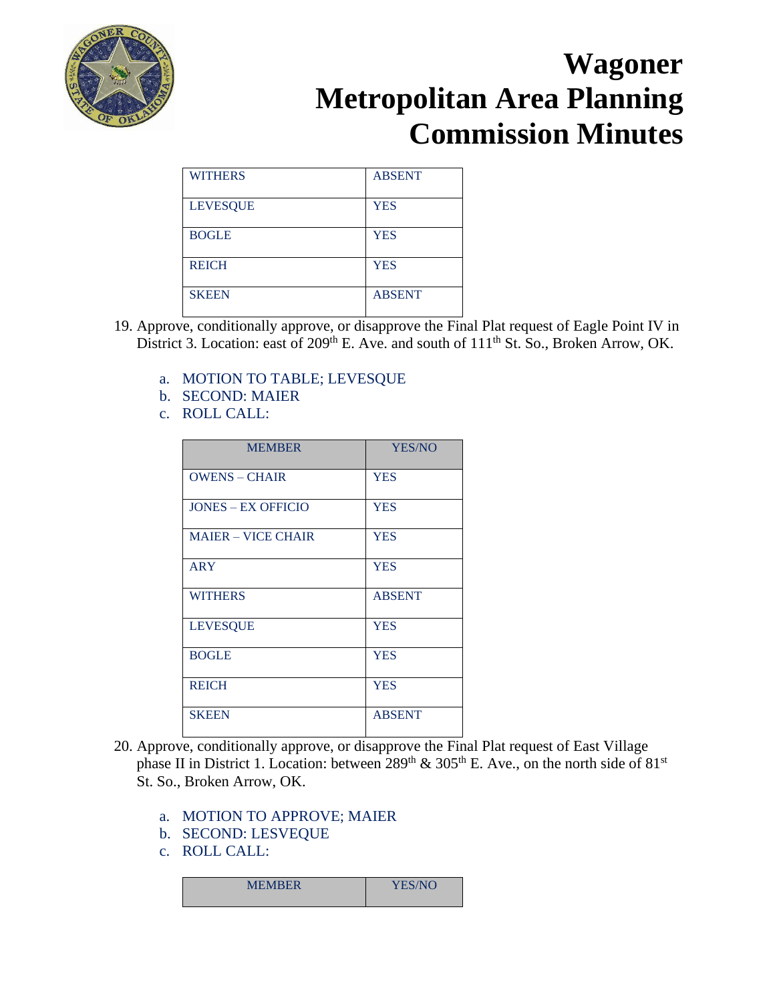

| <b>WITHERS</b>  | <b>ABSENT</b> |
|-----------------|---------------|
| <b>LEVESQUE</b> | <b>YES</b>    |
| <b>BOGLE</b>    | <b>YES</b>    |
| <b>REICH</b>    | <b>YES</b>    |
| <b>SKEEN</b>    | <b>ABSENT</b> |

- 19. Approve, conditionally approve, or disapprove the Final Plat request of Eagle Point IV in District 3. Location: east of  $209<sup>th</sup>$  E. Ave. and south of  $111<sup>th</sup>$  St. So., Broken Arrow, OK.
	- a. MOTION TO TABLE; LEVESQUE
	- b. SECOND: MAIER
	- c. ROLL CALL:

| <b>MEMBER</b>             | <b>YES/NO</b> |
|---------------------------|---------------|
| <b>OWENS - CHAIR</b>      | <b>YES</b>    |
| <b>JONES – EX OFFICIO</b> | <b>YES</b>    |
| <b>MAIER - VICE CHAIR</b> | <b>YES</b>    |
| <b>ARY</b>                | <b>YES</b>    |
| <b>WITHERS</b>            | <b>ABSENT</b> |
| <b>LEVESQUE</b>           | <b>YES</b>    |
| <b>BOGLE</b>              | <b>YES</b>    |
| <b>REICH</b>              | <b>YES</b>    |
| <b>SKEEN</b>              | <b>ABSENT</b> |

- 20. Approve, conditionally approve, or disapprove the Final Plat request of East Village phase II in District 1. Location: between  $289<sup>th</sup>$  &  $305<sup>th</sup>$  E. Ave., on the north side of 81<sup>st</sup> St. So., Broken Arrow, OK.
	- a. MOTION TO APPROVE; MAIER
	- b. SECOND: LESVEQUE
	- c. ROLL CALL:

| <b>MEMBER</b> | YES/NO<br>ー |
|---------------|-------------|
|               |             |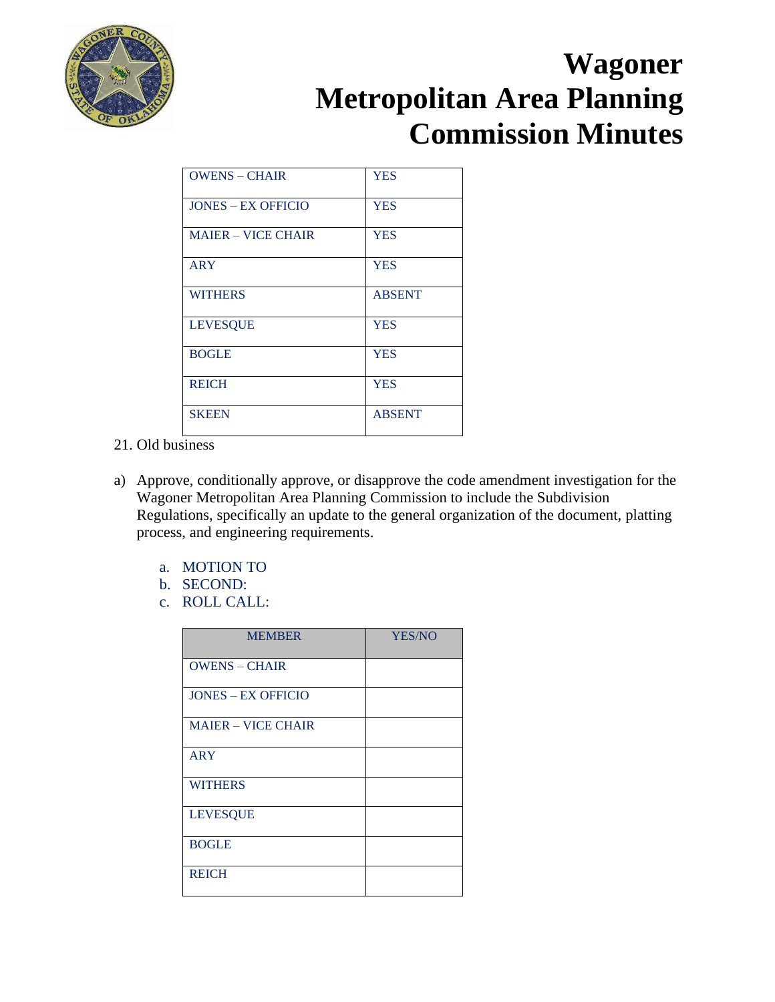

| $OWENS - CHAIR$           | <b>YES</b>    |
|---------------------------|---------------|
| <b>JONES – EX OFFICIO</b> | <b>YES</b>    |
| <b>MAJER – VICE CHAIR</b> | <b>YES</b>    |
| <b>ARY</b>                | <b>YES</b>    |
| <b>WITHERS</b>            | <b>ABSENT</b> |
| <b>LEVESQUE</b>           | <b>YES</b>    |
| <b>BOGLE</b>              | <b>YES</b>    |
| <b>REICH</b>              | <b>YES</b>    |
| <b>SKEEN</b>              | <b>ABSENT</b> |

- 21. Old business
- a) Approve, conditionally approve, or disapprove the code amendment investigation for the Wagoner Metropolitan Area Planning Commission to include the Subdivision Regulations, specifically an update to the general organization of the document, platting process, and engineering requirements.
	- a. MOTION TO
	- b. SECOND:
	- c. ROLL CALL:

| <b>MEMBER</b>             | YES/NO |
|---------------------------|--------|
| <b>OWENS - CHAIR</b>      |        |
| <b>JONES - EX OFFICIO</b> |        |
| <b>MAIER - VICE CHAIR</b> |        |
| <b>ARY</b>                |        |
| <b>WITHERS</b>            |        |
| <b>LEVESQUE</b>           |        |
| <b>BOGLE</b>              |        |
| <b>REICH</b>              |        |